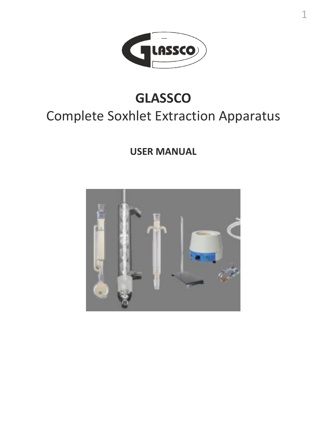

1

# **GLASSCO** Complete Soxhlet Extraction Apparatus

**USER MANUAL**

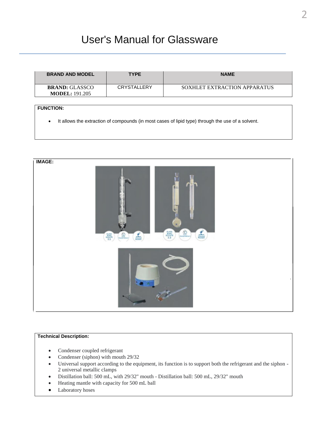# User's Manual for Glassware

| <b>BRAND AND MODEL</b>                         | <b>TYPE</b> | <b>NAME</b>                  |
|------------------------------------------------|-------------|------------------------------|
| <b>BRAND:</b> GLASSCO<br><b>MODEL: 191.205</b> | CRYSTALLERY | SOXHLET EXTRACTION APPARATUS |

## **FUNCTION:**

• It allows the extraction of compounds (in most cases of lipid type) through the use of a solvent.



### **Technical Description:**

- Condenser coupled refrigerant
- Condenser (siphon) with mouth 29/32
- Universal support according to the equipment, its function is to support both the refrigerant and the siphon 2 universal metallic clamps
- Distillation ball: 500 mL, with 29/32" mouth Distillation ball: 500 mL, 29/32" mouth
- Heating mantle with capacity for 500 mL ball
- Laboratory hoses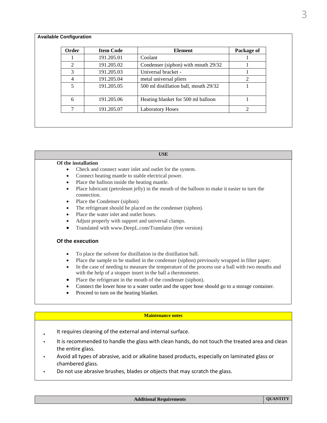#### **Available Configuration**

| Order          | <b>Item Code</b> | <b>Element</b>                        | Package of |
|----------------|------------------|---------------------------------------|------------|
|                | 191.205.01       | Coolant                               |            |
| $\mathfrak{D}$ | 191.205.02       | Condenser (siphon) with mouth 29/32   |            |
| $\mathcal{R}$  | 191.205.03       | Universal bracket -                   |            |
| 4              | 191.205.04       | metal universal pliers                |            |
| 5              | 191.205.05       | 500 ml distillation ball, mouth 29/32 |            |
| 6              | 191.205.06       | Heating blanket for 500 ml balloon    |            |
|                | 191.205.07       | <b>Laboratory Hoses</b>               |            |

#### **USE**

#### **Of the installation**

- Check and connect water inlet and outlet for the system.
- Connect heating mantle to stable electrical power.
- Place the balloon inside the heating mantle.
- Place lubricant (petroleum jelly) in the mouth of the balloon to make it easier to turn the connection.
- Place the Condenser (siphon)
- The refrigerant should be placed on the condenser (siphon).
- Place the water inlet and outlet hoses.
- Adjust properly with support and universal clamps.
- Translated with www.DeepL.com/Translator (free version)

#### **Of the execution**

- To place the solvent for distillation in the distillation ball.
- Place the sample to be studied in the condenser (siphon) previously wrapped in filter paper.
- In the case of needing to measure the temperature of the process use a ball with two mouths and with the help of a stopper insert in the ball a thermometer.
- Place the refrigerant in the mouth of the condenser (siphon).
- Connect the lower hose to a water outlet and the upper hose should go to a storage container.
- Proceed to turn on the heating blanket.

#### **Maintenance notes**

- It requires cleaning of the external and internal surface.
- It is recommended to handle the glass with clean hands, do not touch the treated area and clean the entire glass.
- Avoid all types of abrasive, acid or alkaline based products, especially on laminated glass or chambered glass.
- Do not use abrasive brushes, blades or objects that may scratch the glass.